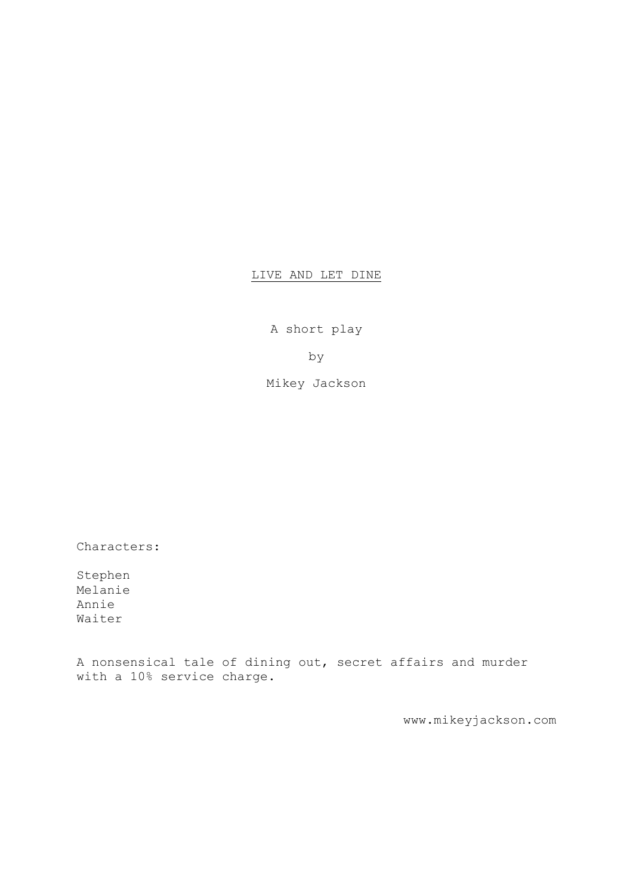## LIVE AND LET DINE

A short play

by

Mikey Jackson

Characters:

Stephen Melanie Annie Waiter

A nonsensical tale of dining out, secret affairs and murder with a 10% service charge.

www.mikeyjackson.com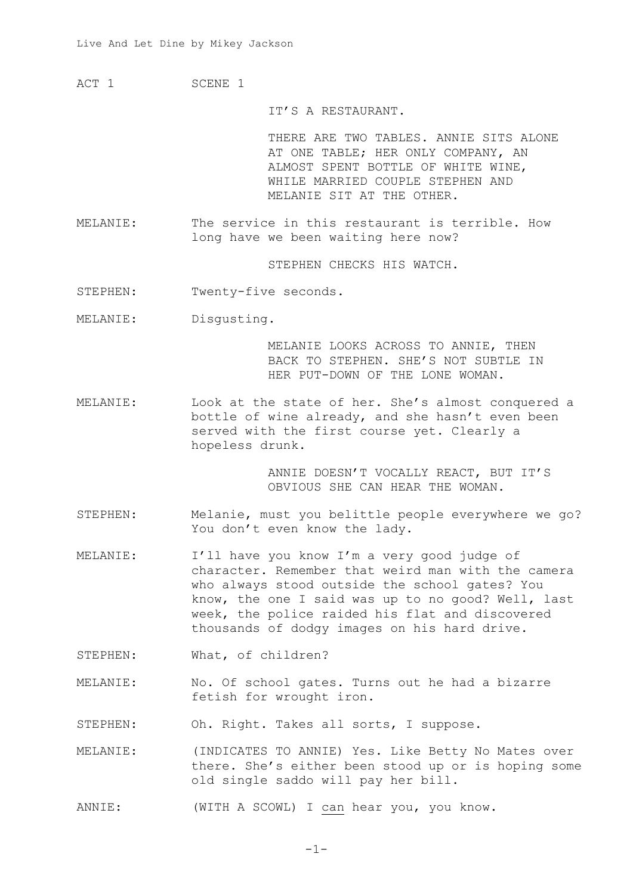ACT 1 SCENE 1

IT'S A RESTAURANT.

THERE ARE TWO TABLES. ANNIE SITS ALONE AT ONE TABLE; HER ONLY COMPANY, AN ALMOST SPENT BOTTLE OF WHITE WINE, WHILE MARRIED COUPLE STEPHEN AND MELANIE SIT AT THE OTHER.

MELANIE: The service in this restaurant is terrible. How long have we been waiting here now?

STEPHEN CHECKS HIS WATCH.

STEPHEN: Twenty-five seconds.

MELANIE: Disgusting.

MELANIE LOOKS ACROSS TO ANNIE, THEN BACK TO STEPHEN. SHE'S NOT SUBTLE IN HER PUT-DOWN OF THE LONE WOMAN.

MELANIE: Look at the state of her. She's almost conquered a bottle of wine already, and she hasn't even been served with the first course yet. Clearly a hopeless drunk.

> ANNIE DOESN'T VOCALLY REACT, BUT IT'S OBVIOUS SHE CAN HEAR THE WOMAN.

- STEPHEN: Melanie, must you belittle people everywhere we go? You don't even know the lady.
- MELANIE: I'll have you know I'm a very good judge of character. Remember that weird man with the camera who always stood outside the school gates? You know, the one I said was up to no good? Well, last week, the police raided his flat and discovered thousands of dodgy images on his hard drive.
- STEPHEN: What, of children?
- MELANIE: No. Of school gates. Turns out he had a bizarre fetish for wrought iron.

STEPHEN: Oh. Right. Takes all sorts, I suppose.

MELANIE: (INDICATES TO ANNIE) Yes. Like Betty No Mates over there. She's either been stood up or is hoping some old single saddo will pay her bill.

ANNIE: (WITH A SCOWL) I can hear you, you know.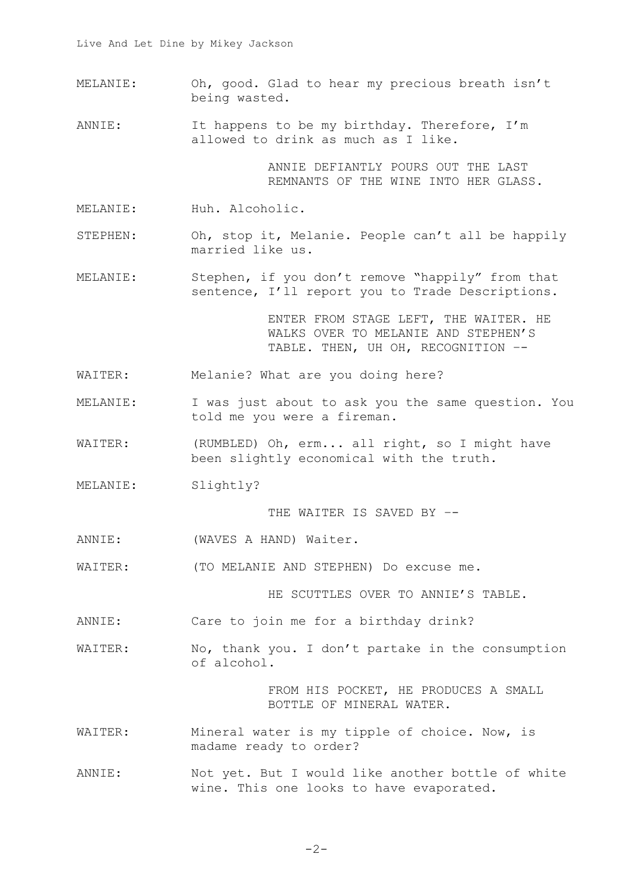- MELANIE: Oh, good. Glad to hear my precious breath isn't being wasted.
- ANNIE: It happens to be my birthday. Therefore, I'm allowed to drink as much as I like.

ANNIE DEFIANTLY POURS OUT THE LAST REMNANTS OF THE WINE INTO HER GLASS.

- MELANIE: Huh. Alcoholic.
- STEPHEN: Oh, stop it, Melanie. People can't all be happily married like us.
- MELANIE: Stephen, if you don't remove "happily" from that sentence, I'll report you to Trade Descriptions.

ENTER FROM STAGE LEFT, THE WAITER. HE WALKS OVER TO MELANIE AND STEPHEN'S TABLE. THEN, UH OH, RECOGNITION –-

- WAITER: Melanie? What are you doing here?
- MELANIE: I was just about to ask you the same question. You told me you were a fireman.
- WAITER: (RUMBLED) Oh, erm... all right, so I might have been slightly economical with the truth.
- MELANIE: Slightly?

THE WAITER IS SAVED BY --

- ANNIE: (WAVES A HAND) Waiter.
- WAITER: (TO MELANIE AND STEPHEN) Do excuse me.

HE SCUTTLES OVER TO ANNIE'S TABLE.

- ANNIE: Care to join me for a birthday drink?
- WAITER: No, thank you. I don't partake in the consumption of alcohol.

FROM HIS POCKET, HE PRODUCES A SMALL BOTTLE OF MINERAL WATER.

- WAITER: Mineral water is my tipple of choice. Now, is madame ready to order?
- ANNIE: Not yet. But I would like another bottle of white wine. This one looks to have evaporated.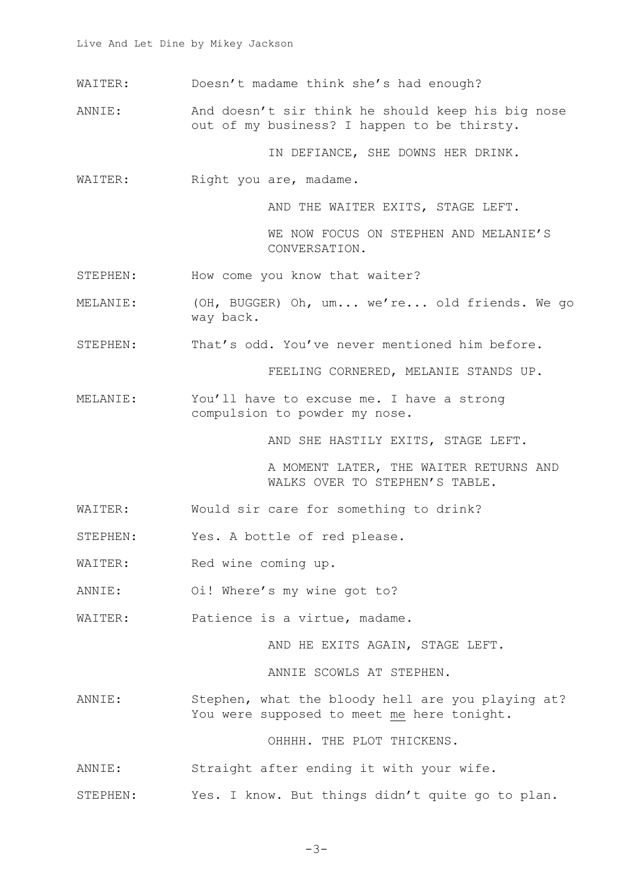- WAITER: Doesn't madame think she's had enough?
- ANNIE: And doesn't sir think he should keep his big nose out of my business? I happen to be thirsty.

IN DEFIANCE, SHE DOWNS HER DRINK.

WAITER: Right you are, madame.

AND THE WAITER EXITS, STAGE LEFT.

WE NOW FOCUS ON STEPHEN AND MELANIE'S CONVERSATION.

- STEPHEN: How come you know that waiter?
- MELANIE: (OH, BUGGER) Oh, um... we're... old friends. We go way back.
- STEPHEN: That's odd. You've never mentioned him before.

FEELING CORNERED, MELANIE STANDS UP.

MELANIE: You'll have to excuse me. I have a strong compulsion to powder my nose.

AND SHE HASTILY EXITS, STAGE LEFT.

A MOMENT LATER, THE WAITER RETURNS AND WALKS OVER TO STEPHEN'S TABLE.

- WAITER: Would sir care for something to drink?
- STEPHEN: Yes. A bottle of red please.
- WAITER: Red wine coming up.
- ANNIE: Oi! Where's my wine got to?
- WAITER: Patience is a virtue, madame.

AND HE EXITS AGAIN, STAGE LEFT.

ANNIE SCOWLS AT STEPHEN.

ANNIE: Stephen, what the bloody hell are you playing at? You were supposed to meet me here tonight.

OHHHH. THE PLOT THICKENS.

- ANNIE: Straight after ending it with your wife.
- STEPHEN: Yes. I know. But things didn't quite go to plan.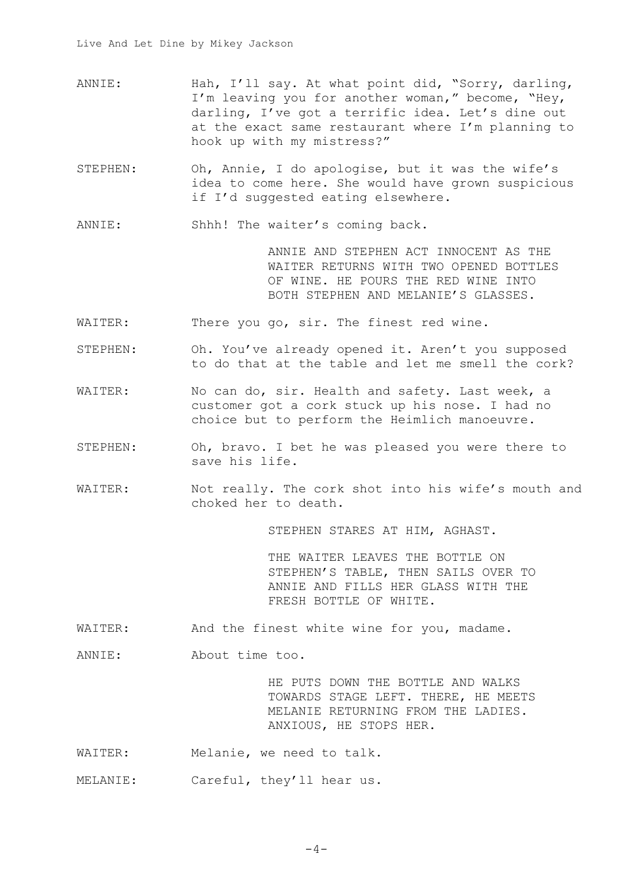- ANNIE: Hah, I'll say. At what point did, "Sorry, darling, I'm leaving you for another woman," become, "Hey, darling, I've got a terrific idea. Let's dine out at the exact same restaurant where I'm planning to hook up with my mistress?"
- STEPHEN: Oh, Annie, I do apologise, but it was the wife's idea to come here. She would have grown suspicious if I'd suggested eating elsewhere.

ANNIE: Shhh! The waiter's coming back.

ANNIE AND STEPHEN ACT INNOCENT AS THE WAITER RETURNS WITH TWO OPENED BOTTLES OF WINE. HE POURS THE RED WINE INTO BOTH STEPHEN AND MELANIE'S GLASSES.

- WAITER: There you go, sir. The finest red wine.
- STEPHEN: Oh. You've already opened it. Aren't you supposed to do that at the table and let me smell the cork?
- WAITER: No can do, sir. Health and safety. Last week, a customer got a cork stuck up his nose. I had no choice but to perform the Heimlich manoeuvre.
- STEPHEN: Oh, bravo. I bet he was pleased you were there to save his life.
- WAITER: Not really. The cork shot into his wife's mouth and choked her to death.

STEPHEN STARES AT HIM, AGHAST.

THE WAITER LEAVES THE BOTTLE ON STEPHEN'S TABLE, THEN SAILS OVER TO ANNIE AND FILLS HER GLASS WITH THE FRESH BOTTLE OF WHITE.

WAITER: And the finest white wine for you, madame.

ANNIE: About time too.

HE PUTS DOWN THE BOTTLE AND WALKS TOWARDS STAGE LEFT. THERE, HE MEETS MELANIE RETURNING FROM THE LADIES. ANXIOUS, HE STOPS HER.

- WAITER: Melanie, we need to talk.
- MELANIE: Careful, they'll hear us.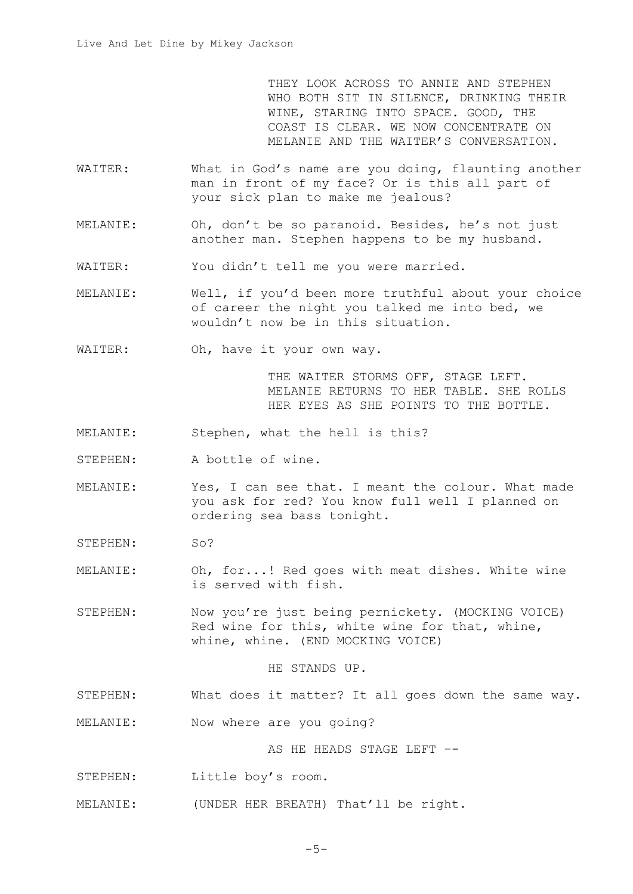THEY LOOK ACROSS TO ANNIE AND STEPHEN WHO BOTH SIT IN SILENCE, DRINKING THEIR WINE, STARING INTO SPACE. GOOD, THE COAST IS CLEAR. WE NOW CONCENTRATE ON MELANIE AND THE WAITER'S CONVERSATION.

- WAITER: What in God's name are you doing, flaunting another man in front of my face? Or is this all part of your sick plan to make me jealous?
- MELANIE: Oh, don't be so paranoid. Besides, he's not just another man. Stephen happens to be my husband.
- WAITER: You didn't tell me you were married.
- MELANIE: Well, if you'd been more truthful about your choice of career the night you talked me into bed, we wouldn't now be in this situation.
- WAITER: Oh, have it your own way.

THE WAITER STORMS OFF, STAGE LEFT. MELANIE RETURNS TO HER TABLE. SHE ROLLS HER EYES AS SHE POINTS TO THE BOTTLE.

- MELANIE: Stephen, what the hell is this?
- STEPHEN: A bottle of wine.
- MELANIE: Yes, I can see that. I meant the colour. What made you ask for red? You know full well I planned on ordering sea bass tonight.
- STEPHEN: So?
- MELANIE: Oh, for...! Red goes with meat dishes. White wine is served with fish.
- STEPHEN: Now you're just being pernickety. (MOCKING VOICE) Red wine for this, white wine for that, whine, whine, whine. (END MOCKING VOICE)

## HE STANDS UP.

- STEPHEN: What does it matter? It all goes down the same way.
- MELANIE: Now where are you going?

AS HE HEADS STAGE LEFT –-

- STEPHEN: Little boy's room.
- MELANIE: (UNDER HER BREATH) That'll be right.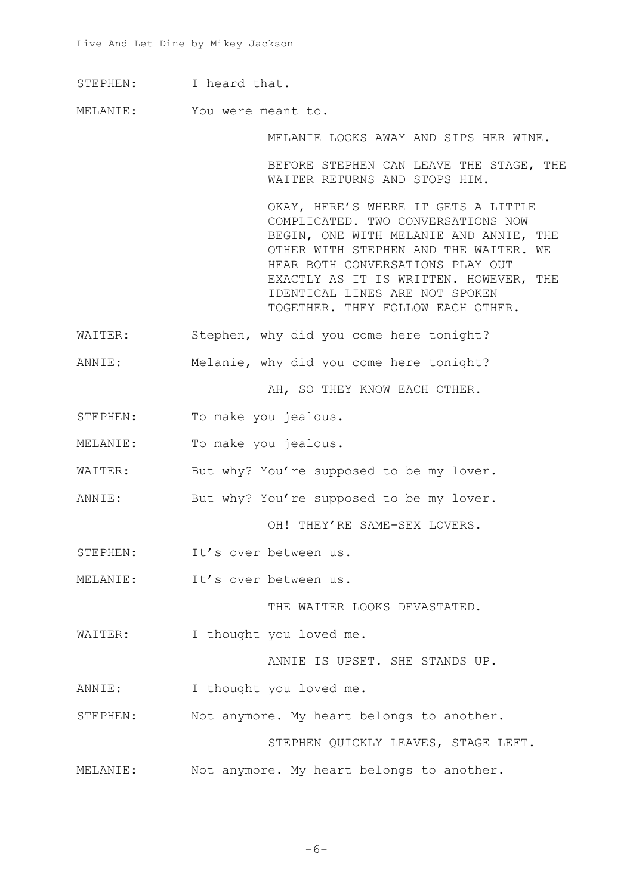STEPHEN: I heard that.

MELANIE: You were meant to.

MELANIE LOOKS AWAY AND SIPS HER WINE.

BEFORE STEPHEN CAN LEAVE THE STAGE, THE WAITER RETURNS AND STOPS HIM.

OKAY, HERE'S WHERE IT GETS A LITTLE COMPLICATED. TWO CONVERSATIONS NOW BEGIN, ONE WITH MELANIE AND ANNIE, THE OTHER WITH STEPHEN AND THE WAITER. WE HEAR BOTH CONVERSATIONS PLAY OUT EXACTLY AS IT IS WRITTEN. HOWEVER, THE IDENTICAL LINES ARE NOT SPOKEN TOGETHER. THEY FOLLOW EACH OTHER.

- WAITER: Stephen, why did you come here tonight?
- ANNIE: Melanie, why did you come here tonight?

AH, SO THEY KNOW EACH OTHER.

- STEPHEN: To make you jealous.
- MELANIE: To make you jealous.
- WAITER: But why? You're supposed to be my lover.
- ANNIE: But why? You're supposed to be my lover.

OH! THEY'RE SAME-SEX LOVERS.

- STEPHEN: It's over between us.
- MELANIE: It's over between us.

THE WAITER LOOKS DEVASTATED.

WAITER: I thought you loved me.

ANNIE IS UPSET. SHE STANDS UP.

- ANNIE: I thought you loved me.
- STEPHEN: Not anymore. My heart belongs to another.

STEPHEN QUICKLY LEAVES, STAGE LEFT.

MELANIE: Not anymore. My heart belongs to another.

 $-6-$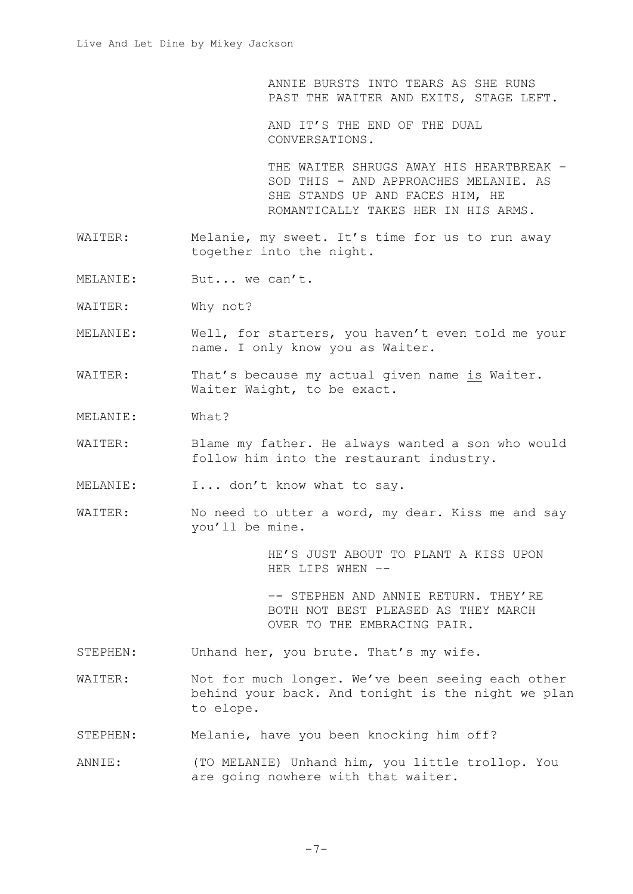ANNIE BURSTS INTO TEARS AS SHE RUNS PAST THE WAITER AND EXITS, STAGE LEFT.

AND IT'S THE END OF THE DUAL CONVERSATIONS.

THE WAITER SHRUGS AWAY HIS HEARTBREAK – SOD THIS - AND APPROACHES MELANIE. AS SHE STANDS UP AND FACES HIM, HE ROMANTICALLY TAKES HER IN HIS ARMS.

- WAITER: Melanie, my sweet. It's time for us to run away together into the night.
- MELANIE: But... we can't.
- WAITER: Why not?
- MELANIE: Well, for starters, you haven't even told me your name. I only know you as Waiter.
- WAITER: That's because my actual given name is Waiter. Waiter Waight, to be exact.
- MELANIE: What?
- WAITER: Blame my father. He always wanted a son who would follow him into the restaurant industry.
- MELANIE: I... don't know what to say.
- WAITER: No need to utter a word, my dear. Kiss me and say you'll be mine.

HE'S JUST ABOUT TO PLANT A KISS UPON HER LIPS WHEN –-

–- STEPHEN AND ANNIE RETURN. THEY'RE BOTH NOT BEST PLEASED AS THEY MARCH OVER TO THE EMBRACING PAIR.

- STEPHEN: Unhand her, you brute. That's my wife.
- WAITER: Not for much longer. We've been seeing each other behind your back. And tonight is the night we plan to elope.
- STEPHEN: Melanie, have you been knocking him off?
- ANNIE: (TO MELANIE) Unhand him, you little trollop. You are going nowhere with that waiter.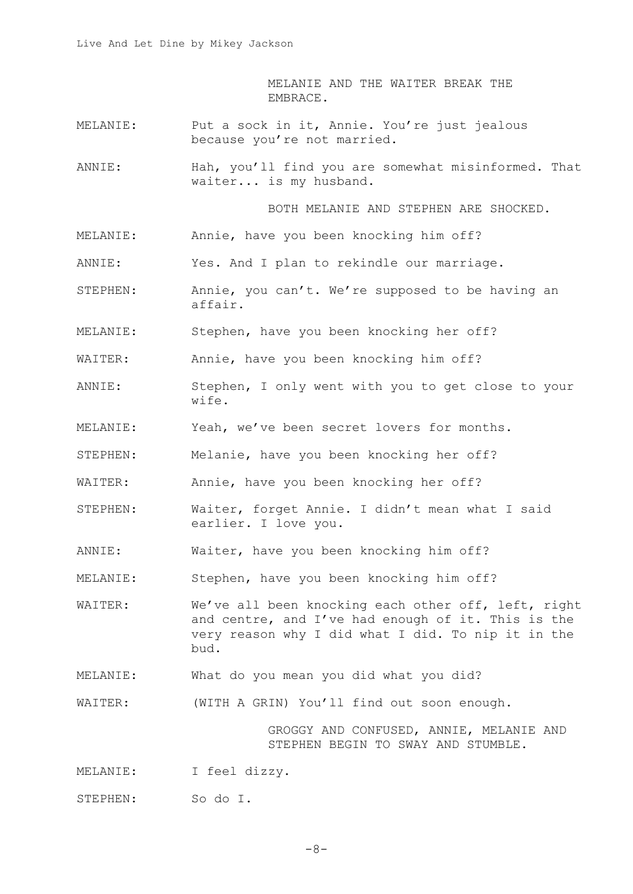MELANIE AND THE WAITER BREAK THE EMBRACE.

- MELANIE: Put a sock in it, Annie. You're just jealous because you're not married.
- ANNIE: Hah, you'll find you are somewhat misinformed. That waiter... is my husband.

BOTH MELANIE AND STEPHEN ARE SHOCKED.

- MELANIE: Annie, have you been knocking him off?
- ANNIE: Yes. And I plan to rekindle our marriage.
- STEPHEN: Annie, you can't. We're supposed to be having an affair.
- MELANIE: Stephen, have you been knocking her off?
- WAITER: Annie, have you been knocking him off?
- ANNIE: Stephen, I only went with you to get close to your wife.
- MELANIE: Yeah, we've been secret lovers for months.
- STEPHEN: Melanie, have you been knocking her off?
- WAITER: Annie, have you been knocking her off?
- STEPHEN: Waiter, forget Annie. I didn't mean what I said earlier. I love you.
- ANNIE: Waiter, have you been knocking him off?
- MELANIE: Stephen, have you been knocking him off?
- WAITER: We've all been knocking each other off, left, right and centre, and I've had enough of it. This is the very reason why I did what I did. To nip it in the bud.
- MELANIE: What do you mean you did what you did?
- WAITER: (WITH A GRIN) You'll find out soon enough.

GROGGY AND CONFUSED, ANNIE, MELANIE AND STEPHEN BEGIN TO SWAY AND STUMBLE.

MELANIE: I feel dizzy.

STEPHEN: So do I.